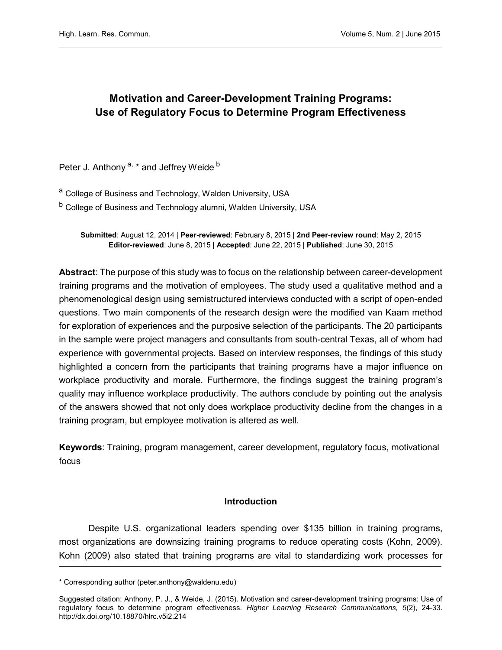# Motivation and Career-Development Training Programs: Use of Regulatory Focus to Determine Program Effectiveness

Peter J. Anthony<sup>a, \*</sup> and Jeffrey Weide<sup>b</sup>

a College of Business and Technology, Walden University, USA

b College of Business and Technology alumni, Walden University, USA

Submitted: August 12, 2014 | Peer-reviewed: February 8, 2015 | 2nd Peer-review round: May 2, 2015 Editor-reviewed: June 8, 2015 | Accepted: June 22, 2015 | Published: June 30, 2015

Abstract: The purpose of this study was to focus on the relationship between career-development training programs and the motivation of employees. The study used a qualitative method and a phenomenological design using semistructured interviews conducted with a script of open-ended questions. Two main components of the research design were the modified van Kaam method for exploration of experiences and the purposive selection of the participants. The 20 participants in the sample were project managers and consultants from south-central Texas, all of whom had experience with governmental projects. Based on interview responses, the findings of this study highlighted a concern from the participants that training programs have a major influence on workplace productivity and morale. Furthermore, the findings suggest the training program's quality may influence workplace productivity. The authors conclude by pointing out the analysis of the answers showed that not only does workplace productivity decline from the changes in a training program, but employee motivation is altered as well.

Keywords: Training, program management, career development, regulatory focus, motivational focus

#### Introduction

Despite U.S. organizational leaders spending over \$135 billion in training programs, most organizations are downsizing training programs to reduce operating costs (Kohn, 2009). Kohn (2009) also stated that training programs are vital to standardizing work processes for

<sup>\*</sup> Corresponding author (peter.anthony@waldenu.edu)

Suggested citation: Anthony, P. J., & Weide, J. (2015). Motivation and career-development training programs: Use of regulatory focus to determine program effectiveness. Higher Learning Research Communications, 5(2), 24-33. <http://dx.doi.org/10.18870/hlrc.v5i2.214>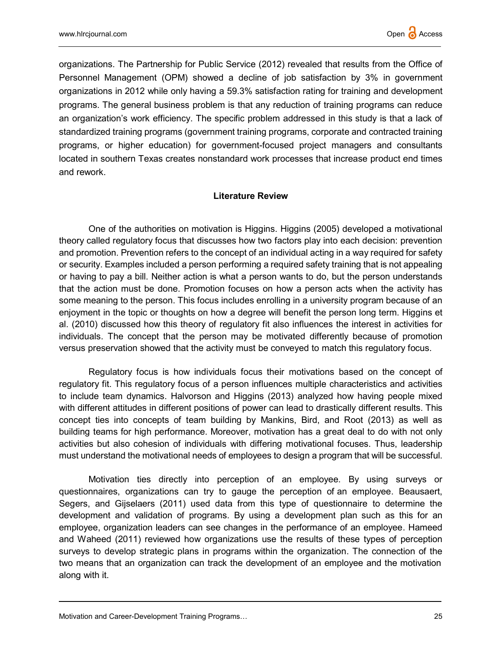organizations. The Partnership for Public Service (2012) revealed that results from the Office of Personnel Management (OPM) showed a decline of job satisfaction by 3% in government organizations in 2012 while only having a 59.3% satisfaction rating for training and development programs. The general business problem is that any reduction of training programs can reduce an organization's work efficiency. The specific problem addressed in this study is that a lack of standardized training programs (government training programs, corporate and contracted training programs, or higher education) for government-focused project managers and consultants located in southern Texas creates nonstandard work processes that increase product end times and rework.

### Literature Review

One of the authorities on motivation is Higgins. Higgins (2005) developed a motivational theory called regulatory focus that discusses how two factors play into each decision: prevention and promotion. Prevention refers to the concept of an individual acting in a way required for safety or security. Examples included a person performing a required safety training that is not appealing or having to pay a bill. Neither action is what a person wants to do, but the person understands that the action must be done. Promotion focuses on how a person acts when the activity has some meaning to the person. This focus includes enrolling in a university program because of an enjoyment in the topic or thoughts on how a degree will benefit the person long term. Higgins et al. (2010) discussed how this theory of regulatory fit also influences the interest in activities for individuals. The concept that the person may be motivated differently because of promotion versus preservation showed that the activity must be conveyed to match this regulatory focus.

Regulatory focus is how individuals focus their motivations based on the concept of regulatory fit. This regulatory focus of a person influences multiple characteristics and activities to include team dynamics. Halvorson and Higgins (2013) analyzed how having people mixed with different attitudes in different positions of power can lead to drastically different results. This concept ties into concepts of team building by Mankins, Bird, and Root (2013) as well as building teams for high performance. Moreover, motivation has a great deal to do with not only activities but also cohesion of individuals with differing motivational focuses. Thus, leadership must understand the motivational needs of employees to design a program that will be successful.

Motivation ties directly into perception of an employee. By using surveys or questionnaires, organizations can try to gauge the perception of an employee. Beausaert, Segers, and Gijselaers (2011) used data from this type of questionnaire to determine the development and validation of programs. By using a development plan such as this for an employee, organization leaders can see changes in the performance of an employee. Hameed and Waheed (2011) reviewed how organizations use the results of these types of perception surveys to develop strategic plans in programs within the organization. The connection of the two means that an organization can track the development of an employee and the motivation along with it.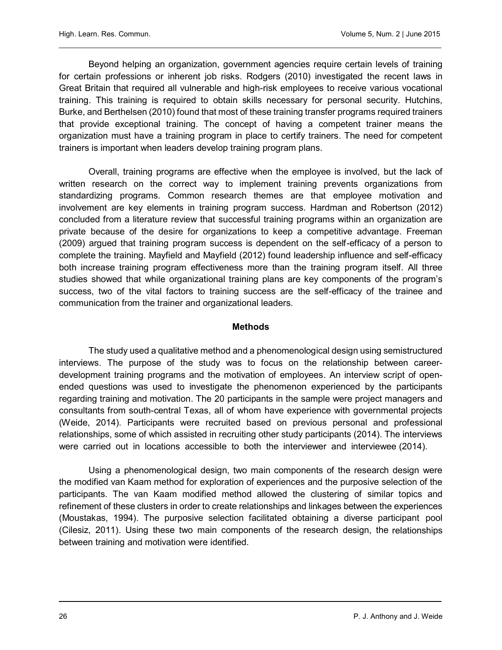Beyond helping an organization, government agencies require certain levels of training for certain professions or inherent job risks. Rodgers (2010) investigated the recent laws in Great Britain that required all vulnerable and high-risk employees to receive various vocational training. This training is required to obtain skills necessary for personal security. Hutchins, Burke, and Berthelsen (2010) found that most of these training transfer programs required trainers that provide exceptional training. The concept of having a competent trainer means the organization must have a training program in place to certify trainers. The need for competent trainers is important when leaders develop training program plans.

Overall, training programs are effective when the employee is involved, but the lack of written research on the correct way to implement training prevents organizations from standardizing programs. Common research themes are that employee motivation and involvement are key elements in training program success. Hardman and Robertson (2012) concluded from a literature review that successful training programs within an organization are private because of the desire for organizations to keep a competitive advantage. Freeman (2009) argued that training program success is dependent on the self-efficacy of a person to complete the training. Mayfield and Mayfield (2012) found leadership influence and self-efficacy both increase training program effectiveness more than the training program itself. All three studies showed that while organizational training plans are key components of the program's success, two of the vital factors to training success are the self-efficacy of the trainee and communication from the trainer and organizational leaders.

#### Methods

The study used a qualitative method and a phenomenological design using semistructured interviews. The purpose of the study was to focus on the relationship between careerdevelopment training programs and the motivation of employees. An interview script of openended questions was used to investigate the phenomenon experienced by the participants regarding training and motivation. The 20 participants in the sample were project managers and consultants from south-central Texas, all of whom have experience with governmental projects (Weide, 2014). Participants were recruited based on previous personal and professional relationships, some of which assisted in recruiting other study participants (2014). The interviews were carried out in locations accessible to both the interviewer and interviewee (2014).

Using a phenomenological design, two main components of the research design were the modified van Kaam method for exploration of experiences and the purposive selection of the participants. The van Kaam modified method allowed the clustering of similar topics and refinement of these clusters in order to create relationships and linkages between the experiences (Moustakas, 1994). The purposive selection facilitated obtaining a diverse participant pool (Cilesiz, 2011). Using these two main components of the research design, the relationships between training and motivation were identified.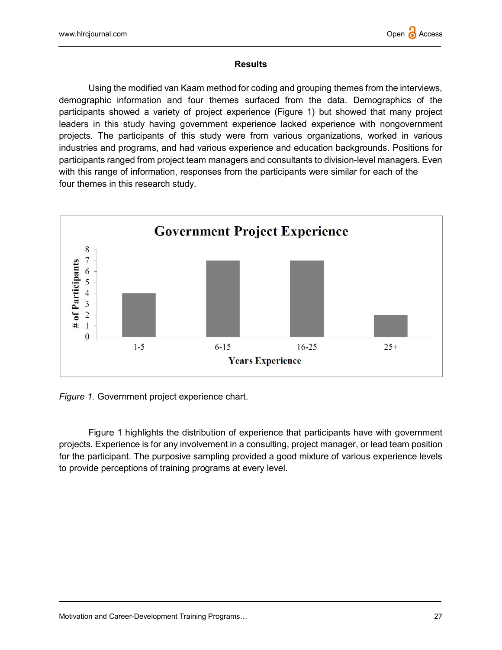## **Results**

Using the modified van Kaam method for coding and grouping themes from the interviews, demographic information and four themes surfaced from the data. Demographics of the participants showed a variety of project experience (Figure 1) but showed that many project leaders in this study having government experience lacked experience with nongovernment projects. The participants of this study were from various organizations, worked in various industries and programs, and had various experience and education backgrounds. Positions for participants ranged from project team managers and consultants to division-level managers. Even with this range of information, responses from the participants were similar for each of the four themes in this research study.



Figure 1. Government project experience chart.

Figure 1 highlights the distribution of experience that participants have with government projects. Experience is for any involvement in a consulting, project manager, or lead team position for the participant. The purposive sampling provided a good mixture of various experience levels to provide perceptions of training programs at every level.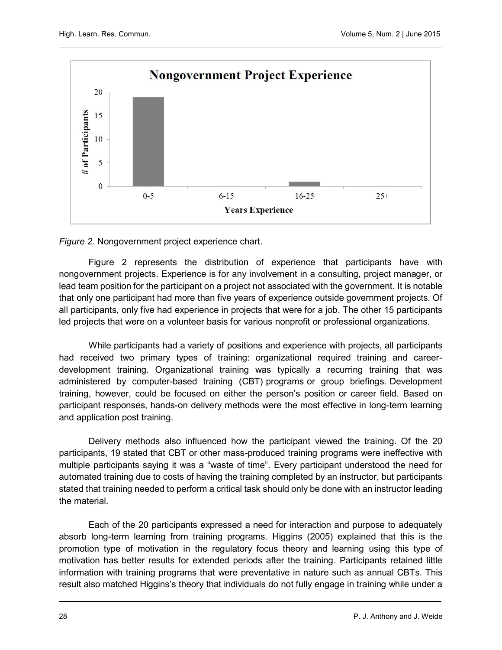

Figure 2. Nongovernment project experience chart.

Figure 2 represents the distribution of experience that participants have with nongovernment projects. Experience is for any involvement in a consulting, project manager, or lead team position for the participant on a project not associated with the government. It is notable that only one participant had more than five years of experience outside government projects. Of all participants, only five had experience in projects that were for a job. The other 15 participants led projects that were on a volunteer basis for various nonprofit or professional organizations.

While participants had a variety of positions and experience with projects, all participants had received two primary types of training: organizational required training and careerdevelopment training. Organizational training was typically a recurring training that was administered by computer-based training (CBT) programs or group briefings. Development training, however, could be focused on either the person's position or career field. Based on participant responses, hands-on delivery methods were the most effective in long-term learning and application post training.

Delivery methods also influenced how the participant viewed the training. Of the 20 participants, 19 stated that CBT or other mass-produced training programs were ineffective with multiple participants saying it was a "waste of time". Every participant understood the need for automated training due to costs of having the training completed by an instructor, but participants stated that training needed to perform a critical task should only be done with an instructor leading the material.

Each of the 20 participants expressed a need for interaction and purpose to adequately absorb long-term learning from training programs. Higgins (2005) explained that this is the promotion type of motivation in the regulatory focus theory and learning using this type of motivation has better results for extended periods after the training. Participants retained little information with training programs that were preventative in nature such as annual CBTs. This result also matched Higgins's theory that individuals do not fully engage in training while under a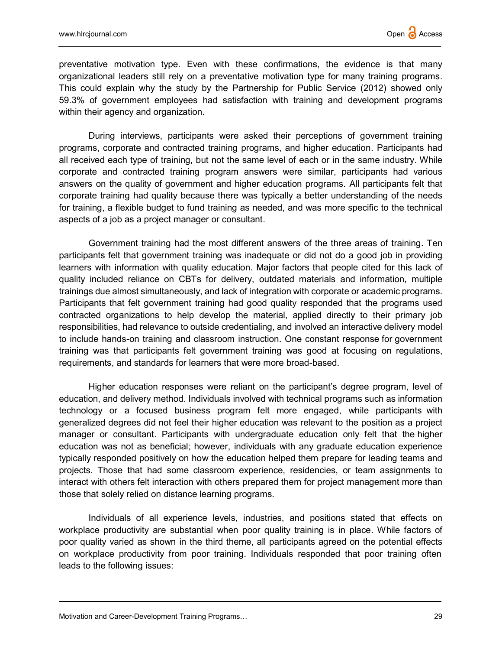preventative motivation type. Even with these confirmations, the evidence is that many organizational leaders still rely on a preventative motivation type for many training programs. This could explain why the study by the Partnership for Public Service (2012) showed only 59.3% of government employees had satisfaction with training and development programs within their agency and organization.

During interviews, participants were asked their perceptions of government training programs, corporate and contracted training programs, and higher education. Participants had all received each type of training, but not the same level of each or in the same industry. While corporate and contracted training program answers were similar, participants had various answers on the quality of government and higher education programs. All participants felt that corporate training had quality because there was typically a better understanding of the needs for training, a flexible budget to fund training as needed, and was more specific to the technical aspects of a job as a project manager or consultant.

Government training had the most different answers of the three areas of training. Ten participants felt that government training was inadequate or did not do a good job in providing learners with information with quality education. Major factors that people cited for this lack of quality included reliance on CBTs for delivery, outdated materials and information, multiple trainings due almost simultaneously, and lack of integration with corporate or academic programs. Participants that felt government training had good quality responded that the programs used contracted organizations to help develop the material, applied directly to their primary job responsibilities, had relevance to outside credentialing, and involved an interactive delivery model to include hands-on training and classroom instruction. One constant response for government training was that participants felt government training was good at focusing on regulations, requirements, and standards for learners that were more broad-based.

Higher education responses were reliant on the participant's degree program, level of education, and delivery method. Individuals involved with technical programs such as information technology or a focused business program felt more engaged, while participants with generalized degrees did not feel their higher education was relevant to the position as a project manager or consultant. Participants with undergraduate education only felt that the higher education was not as beneficial; however, individuals with any graduate education experience typically responded positively on how the education helped them prepare for leading teams and projects. Those that had some classroom experience, residencies, or team assignments to interact with others felt interaction with others prepared them for project management more than those that solely relied on distance learning programs.

Individuals of all experience levels, industries, and positions stated that effects on workplace productivity are substantial when poor quality training is in place. While factors of poor quality varied as shown in the third theme, all participants agreed on the potential effects on workplace productivity from poor training. Individuals responded that poor training often leads to the following issues: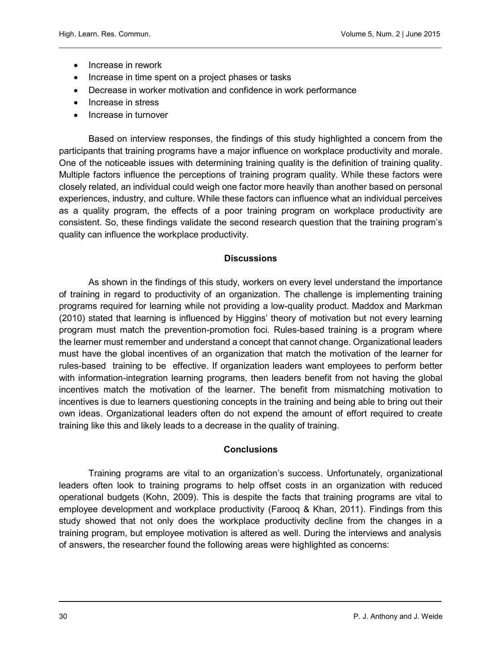- Increase in rework
- Increase in time spent on a project phases or tasks
- Decrease in worker motivation and confidence in work performance
- Increase in stress
- Increase in turnover

Based on interview responses, the findings of this study highlighted a concern from the participants that training programs have a major influence on workplace productivity and morale. One of the noticeable issues with determining training quality is the definition of training quality. Multiple factors influence the perceptions of training program quality. While these factors were closely related, an individual could weigh one factor more heavily than another based on personal experiences, industry, and culture. While these factors can influence what an individual perceives as a quality program, the effects of a poor training program on workplace productivity are consistent. So, these findings validate the second research question that the training program's quality can influence the workplace productivity.

# **Discussions**

As shown in the findings of this study, workers on every level understand the importance of training in regard to productivity of an organization. The challenge is implementing training programs required for learning while not providing a low-quality product. Maddox and Markman (2010) stated that learning is influenced by Higgins' theory of motivation but not every learning program must match the prevention-promotion foci. Rules-based training is a program where the learner must remember and understand a concept that cannot change. Organizational leaders must have the global incentives of an organization that match the motivation of the learner for rules-based training to be effective. If organization leaders want employees to perform better with information-integration learning programs, then leaders benefit from not having the global incentives match the motivation of the learner. The benefit from mismatching motivation to incentives is due to learners questioning concepts in the training and being able to bring out their own ideas. Organizational leaders often do not expend the amount of effort required to create training like this and likely leads to a decrease in the quality of training.

# **Conclusions**

Training programs are vital to an organization's success. Unfortunately, organizational leaders often look to training programs to help offset costs in an organization with reduced operational budgets (Kohn, 2009). This is despite the facts that training programs are vital to employee development and workplace productivity (Farooq & Khan, 2011). Findings from this study showed that not only does the workplace productivity decline from the changes in a training program, but employee motivation is altered as well. During the interviews and analysis of answers, the researcher found the following areas were highlighted as concerns: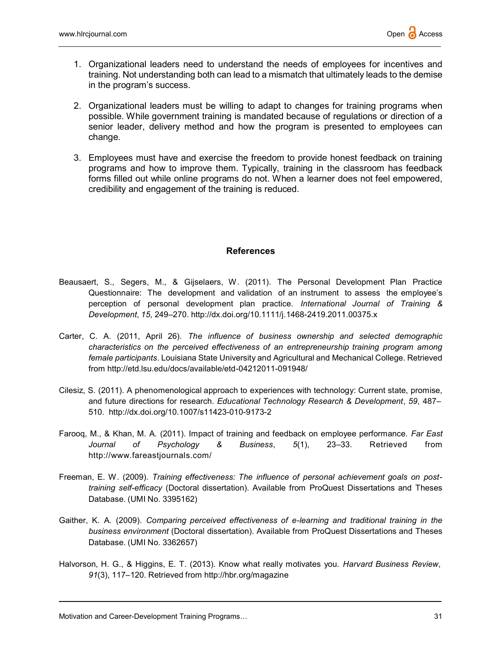- 1. Organizational leaders need to understand the needs of employees for incentives and training. Not understanding both can lead to a mismatch that ultimately leads to the demise in the program's success.
- 2. Organizational leaders must be willing to adapt to changes for training programs when possible. While government training is mandated because of regulations or direction of a senior leader, delivery method and how the program is presented to employees can change.
- 3. Employees must have and exercise the freedom to provide honest feedback on training programs and how to improve them. Typically, training in the classroom has feedback forms filled out while online programs do not. When a learner does not feel empowered, credibility and engagement of the training is reduced.

### **References**

- Beausaert, S., Segers, M., & Gijselaers, W. (2011). The Personal Development Plan Practice Questionnaire: The development and validation of an instrument to assess the employee's perception of personal development plan practice. International Journal of Training & Development, 15, 249–270. http://dx.doi.org/10.1111/j.1468-2419.2011.00375.x
- Carter, C. A. (2011, April 26). The influence of business ownership and selected demographic characteristics on the perceived effectiveness of an entrepreneurship training program among female participants. Louisiana State University and Agricultural and Mechanical College. Retrieved from http://etd.lsu.edu/docs/available/etd-04212011-091948/
- Cilesiz, S. (2011). A phenomenological approach to experiences with technology: Current state, promise, and future directions for research. Educational Technology Research & Development, 59, 487-510. http://dx.doi.org/10.1007/s11423-010-9173-2
- Farooq, M., & Khan, M. A. (2011). Impact of training and feedback on employee performance. Far East Journal of Psychology & Business, 5(1), 23–33. Retrieved from http://www.fareastjournals.com/
- Freeman, E. W. (2009). Training effectiveness: The influence of personal achievement goals on posttraining self-efficacy (Doctoral dissertation). Available from ProQuest Dissertations and Theses Database. (UMI No. 3395162)
- Gaither, K. A. (2009). Comparing perceived effectiveness of e-learning and traditional training in the business environment (Doctoral dissertation). Available from ProQuest Dissertations and Theses Database. (UMI No. 3362657)
- Halvorson, H. G., & Higgins, E. T. (2013). Know what really motivates you. Harvard Business Review, 91(3), 117–120. Retrieved from http://hbr.org/magazine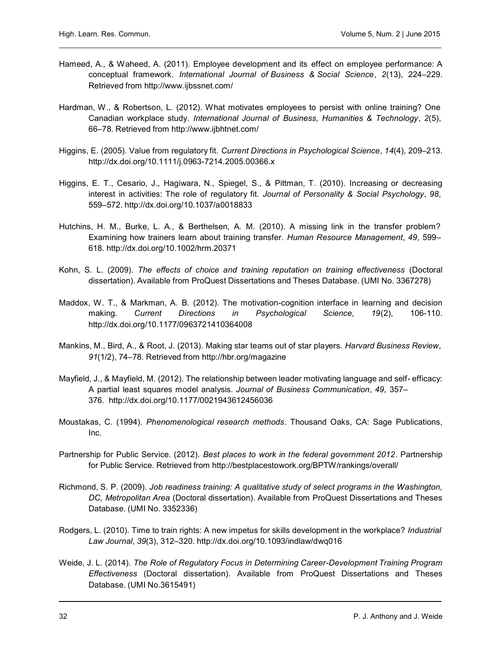- Hameed, A., & Waheed, A. (2011). Employee development and its effect on employee performance: A conceptual framework. International Journal of Business & Social Science, 2(13), 224–229. Retrieved from http://www.ijbssnet.com/
- Hardman, W., & Robertson, L. (2012). What motivates employees to persist with online training? One Canadian workplace study. International Journal of Business, Humanities & Technology, 2(5), 66–78. Retrieved from http://www.ijbhtnet.com/
- Higgins, E. (2005). Value from regulatory fit. Current Directions in Psychological Science, 14(4), 209–213. http://dx.doi.org/10.1111/j.0963-7214.2005.00366.x
- Higgins, E. T., Cesario, J., Hagiwara, N., Spiegel, S., & Pittman, T. (2010). Increasing or decreasing interest in activities: The role of regulatory fit. Journal of Personality & Social Psychology, 98, 559–572. http://dx.doi.org/10.1037/a0018833
- Hutchins, H. M., Burke, L. A., & Berthelsen, A. M. (2010). A missing link in the transfer problem? Examining how trainers learn about training transfer. Human Resource Management, 49, 599-618. http://dx.doi.org/10.1002/hrm.20371
- Kohn, S. L. (2009). The effects of choice and training reputation on training effectiveness (Doctoral dissertation). Available from ProQuest Dissertations and Theses Database. (UMI No. 3367278)
- Maddox, W. T., & Markman, A. B. (2012). The motivation-cognition interface in learning and decision making. Current Directions in Psychological Science, 19(2), 106-110. http://dx.doi.org/10.1177/0963721410364008
- Mankins, M., Bird, A., & Root, J. (2013). Making star teams out of star players. Harvard Business Review, 91(1/2), 74–78. Retrieved from http://hbr.org/magazine
- Mayfield, J., & Mayfield, M. (2012). The relationship between leader motivating language and self- efficacy: A partial least squares model analysis. Journal of Business Communication, 49, 357– 376. http://dx.doi.org/10.1177/0021943612456036
- Moustakas, C. (1994). Phenomenological research methods. Thousand Oaks, CA: Sage Publications, Inc.
- Partnership for Public Service. (2012). Best places to work in the federal government 2012. Partnership for Public Service. Retrieved from http://bestplacestowork.org/BPTW/rankings/overall/
- Richmond, S. P. (2009). Job readiness training: A qualitative study of select programs in the Washington, DC, Metropolitan Area (Doctoral dissertation). Available from ProQuest Dissertations and Theses Database. (UMI No. 3352336)
- Rodgers, L. (2010). Time to train rights: A new impetus for skills development in the workplace? Industrial Law Journal, 39(3), 312–320. http://dx.doi.org/10.1093/indlaw/dwq016
- Weide, J. L. (2014). The Role of Regulatory Focus in Determining Career-Development Training Program Effectiveness (Doctoral dissertation). Available from ProQuest Dissertations and Theses Database. (UMI No.3615491)